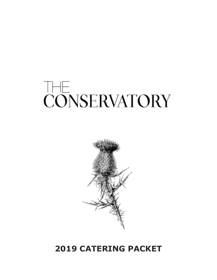# **THE CONSERVATORY**



### **2019 CATERING PACKET**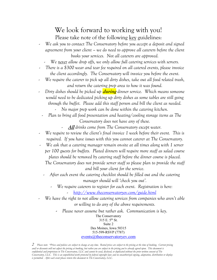#### We look forward to working with you! Please take note of the following key guidelines:

- *We ask you to contact The Conservatory before you accept a deposit and signed agreement from your client – we do need to approve all caterers before the client books your services. Not all caterers are approved.* 
	- We never allow drop offs, we only allow full catering services with servers.
- *There is a \$300 wear and tear fee required on all catered events, please invoice the client accordingly. The Conservatory will invoice you before the event.*
- We require the caterer to pick up all dirty dishes, take out all food related trash, *and return the catering prep area to how it was found.*
- *Dirty dishes should be picked up* **during** *dinner service. Which means someone would need to be dedicated picking up dirty dishes as some tables are still going through the buffet. Please add this staff person and bill the client as needed.*

- *No major prep work can be done within the catering kitchen.*

- *Plan to bring all food presentation and heating/cooling storage items as The Conservatory does not have any of these.*
	- **All** *drinks come from The Conservatory except water.*
- *We require to review the client's final invoice 1 week before their event. This is required. If you have issues with this you cannot caterer at The Conservatory.*
- *We ask that a catering manager remain on-site at all times along with 1 server per 100 guests for buffets. Plated dinners will require more staff as salad course plates should be removed by catering staff before the dinner course is placed. The Conservatory does not provide server staff so please plan to provide the staff*

*and bill your client for the service.* 

- *After each event the catering checklist should be filled out and the catering manager should will 'check you out'.*
	- *We require caterers to register for each event. Registration is here:* - *http://www.theconservatoryev.com/guide.html*
- *We have the right to not allow catering services from companies who aren't able or willing to do any of the above requirements.*
	- *Please never assume but rather ask. Communication is key.*

The Conservatory 315 E. 5th St. Suite 2 Des Moines, Iowa 50315 515-599-RSVP (7787) events@theconservatoryev.com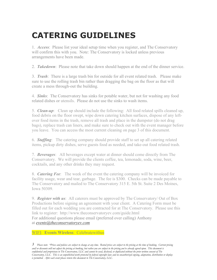# **CATERING GUIDELINES**

1. *Access*: Please list your ideal setup time when you register, and The Conservatory will confirm this with you. Note: The Conservatory is locked unless previous arrangements have been made.

2. *Takedown*: Please note that take down should happen at the end of the dinner service.

3. *Trash*: There is a large trash bin for outside for all event related trash. Please make sure to use the rolling trash bin rather than dragging the bag on the floor as that will create a mess through-out the building.

4. *Sinks*: The Conservatory has sinks for potable water, but not for washing any food related dishes or utensils. Please do not use the sinks to wash items.

5. *Clean-up*: Clean up should include the following: All food related spills cleaned up, food debris on the floor swept, wipe down catering kitchen surfaces, dispose of any leftover food items in the trash, remove all trash and place in the dumpster (do not drag bags), replace trash can liners, and make sure to check out with the event manager before you leave. You can access the most current cleaning on page 3 of this document.

6. *Staffing*: The catering company should provide staff to set up all catering related items, pickup dirty dishes, serve guests food as needed, and take-out food related trash.

7. *Beverages*: All beverages except water at dinner should come directly from The Conservatory. We will provide the clients coffee, tea, lemonade, soda, wine, beer, cocktails, and any other drinks they may request.

8. *Catering Fee*: The week of the event the catering company will be invoiced for facility usage, wear and tear, garbage. The fee is \$300. Checks can be made payable to The Conservatory and mailed to The Conservatory 315 E. 5th St. Suite 2 Des Moines, Iowa 50309.

9. *Register with us*: All caterers must be approved by The Conservatory/ Out of Box Productions before signing an agreement with your client. A Catering Form must be filled out for each wedding you are contracted for at The Conservatory. Please use this link to register: http://www.theconservatoryev.com/guide.html For additional questions please email (preferred over calling) Anthony at *events@theconservatoryev.com*

WIFI: **Events Wireless**: Celebratewithus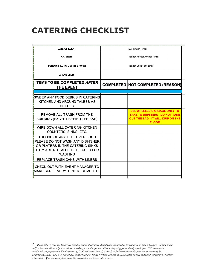# **CATERING CHECKLIST**

| Event Start Time:                                                                                                                       |
|-----------------------------------------------------------------------------------------------------------------------------------------|
| Vendor Access/Unlock Time:                                                                                                              |
| Vendor Check out time:                                                                                                                  |
|                                                                                                                                         |
| <b>COMPLETED NOT COMPLETED (REASON)</b>                                                                                                 |
|                                                                                                                                         |
|                                                                                                                                         |
| <b>USE WHEELED GARBAGE ONLY TO</b><br><b>TAKE TO DUPSTERS - DO NOT TAKE</b><br><b>OUT THE BAG - IT WILL DRIP ON THE</b><br><b>FLOOR</b> |
|                                                                                                                                         |
|                                                                                                                                         |
|                                                                                                                                         |
|                                                                                                                                         |
| SWEEP ANY FOOD DEBRIS IN CATERING                                                                                                       |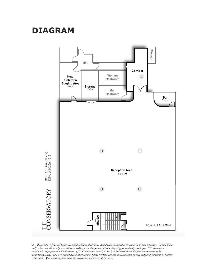## **DIAGRAM**